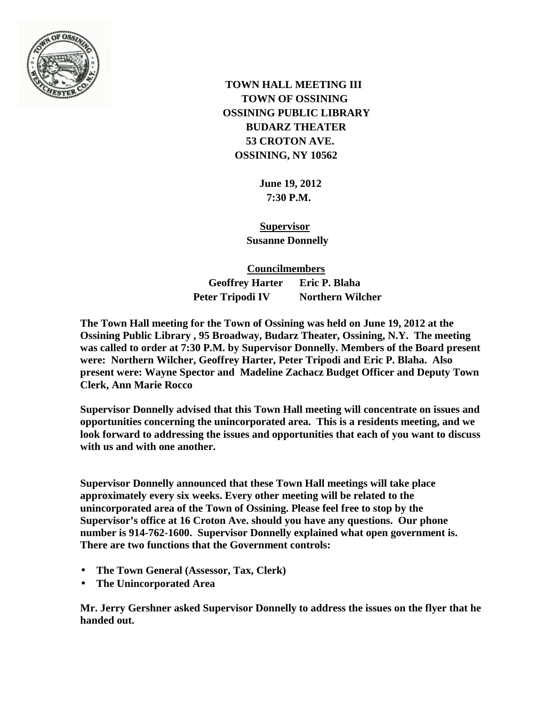

 **TOWN HALL MEETING III TOWN OF OSSINING OSSINING PUBLIC LIBRARY BUDARZ THEATER 53 CROTON AVE. OSSINING, NY 10562**

> **June 19, 2012 7:30 P.M.**

 **Supervisor Susanne Donnelly**

 **Councilmembers Geoffrey Harter Eric P. Blaha Peter Tripodi IV Northern Wilcher** 

**The Town Hall meeting for the Town of Ossining was held on June 19, 2012 at the Ossining Public Library , 95 Broadway, Budarz Theater, Ossining, N.Y. The meeting was called to order at 7:30 P.M. by Supervisor Donnelly. Members of the Board present were: Northern Wilcher, Geoffrey Harter, Peter Tripodi and Eric P. Blaha. Also present were: Wayne Spector and Madeline Zachacz Budget Officer and Deputy Town Clerk, Ann Marie Rocco**

**Supervisor Donnelly advised that this Town Hall meeting will concentrate on issues and opportunities concerning the unincorporated area. This is a residents meeting, and we look forward to addressing the issues and opportunities that each of you want to discuss with us and with one another.**

**Supervisor Donnelly announced that these Town Hall meetings will take place approximately every six weeks. Every other meeting will be related to the unincorporated area of the Town of Ossining. Please feel free to stop by the Supervisor's office at 16 Croton Ave. should you have any questions. Our phone number is 914-762-1600. Supervisor Donnelly explained what open government is. There are two functions that the Government controls:**

- **The Town General (Assessor, Tax, Clerk)** ¥,
- **The Unincorporated Area**

**Mr. Jerry Gershner asked Supervisor Donnelly to address the issues on the flyer that he handed out.**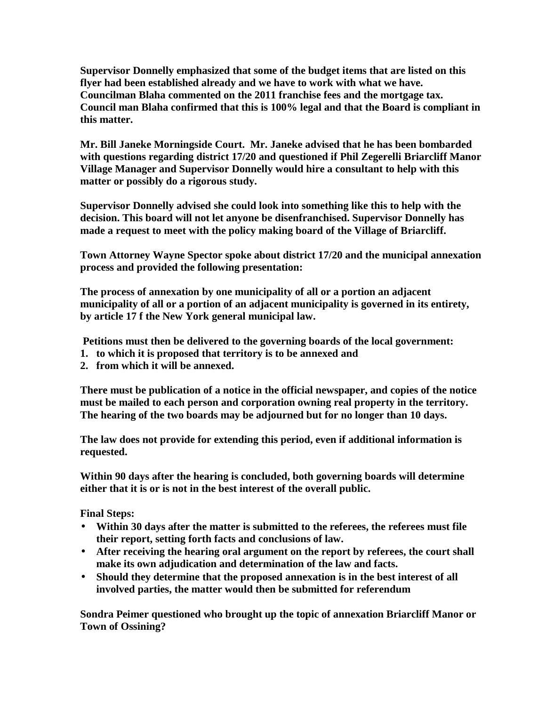**Supervisor Donnelly emphasized that some of the budget items that are listed on this flyer had been established already and we have to work with what we have. Councilman Blaha commented on the 2011 franchise fees and the mortgage tax. Council man Blaha confirmed that this is 100% legal and that the Board is compliant in this matter.** 

**Mr. Bill Janeke Morningside Court. Mr. Janeke advised that he has been bombarded with questions regarding district 17/20 and questioned if Phil Zegerelli Briarcliff Manor Village Manager and Supervisor Donnelly would hire a consultant to help with this matter or possibly do a rigorous study.**

**Supervisor Donnelly advised she could look into something like this to help with the decision. This board will not let anyone be disenfranchised. Supervisor Donnelly has made a request to meet with the policy making board of the Village of Briarcliff.** 

**Town Attorney Wayne Spector spoke about district 17/20 and the municipal annexation process and provided the following presentation:**

**The process of annexation by one municipality of all or a portion an adjacent municipality of all or a portion of an adjacent municipality is governed in its entirety, by article 17 f the New York general municipal law.** 

**Petitions must then be delivered to the governing boards of the local government:** 

- **1. to which it is proposed that territory is to be annexed and**
- **2. from which it will be annexed.**

**There must be publication of a notice in the official newspaper, and copies of the notice must be mailed to each person and corporation owning real property in the territory. The hearing of the two boards may be adjourned but for no longer than 10 days.**

**The law does not provide for extending this period, even if additional information is requested.**

**Within 90 days after the hearing is concluded, both governing boards will determine either that it is or is not in the best interest of the overall public.**

## **Final Steps:**

- **Within 30 days after the matter is submitted to the referees, the referees must file their report, setting forth facts and conclusions of law.**
- **After receiving the hearing oral argument on the report by referees, the court shall**   $\mathbf{r}$ **make its own adjudication and determination of the law and facts.**
- **Should they determine that the proposed annexation is in the best interest of all involved parties, the matter would then be submitted for referendum**

**Sondra Peimer questioned who brought up the topic of annexation Briarcliff Manor or Town of Ossining?**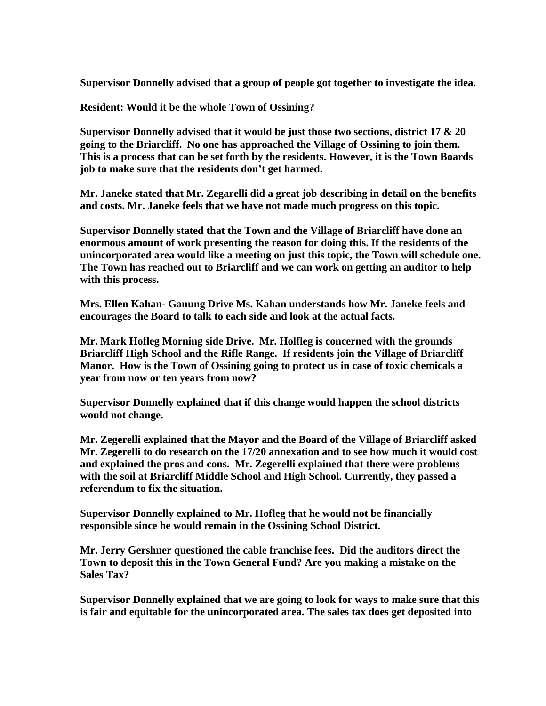**Supervisor Donnelly advised that a group of people got together to investigate the idea.**

**Resident: Would it be the whole Town of Ossining?**

**Supervisor Donnelly advised that it would be just those two sections, district 17 & 20 going to the Briarcliff. No one has approached the Village of Ossining to join them. This is a process that can be set forth by the residents. However, it is the Town Boards job to make sure that the residents don't get harmed.**

**Mr. Janeke stated that Mr. Zegarelli did a great job describing in detail on the benefits and costs. Mr. Janeke feels that we have not made much progress on this topic.**

**Supervisor Donnelly stated that the Town and the Village of Briarcliff have done an enormous amount of work presenting the reason for doing this. If the residents of the unincorporated area would like a meeting on just this topic, the Town will schedule one. The Town has reached out to Briarcliff and we can work on getting an auditor to help with this process.** 

**Mrs. Ellen Kahan- Ganung Drive Ms. Kahan understands how Mr. Janeke feels and encourages the Board to talk to each side and look at the actual facts.** 

**Mr. Mark Hofleg Morning side Drive. Mr. Holfleg is concerned with the grounds Briarcliff High School and the Rifle Range. If residents join the Village of Briarcliff Manor. How is the Town of Ossining going to protect us in case of toxic chemicals a year from now or ten years from now?**

**Supervisor Donnelly explained that if this change would happen the school districts would not change.** 

**Mr. Zegerelli explained that the Mayor and the Board of the Village of Briarcliff asked Mr. Zegerelli to do research on the 17/20 annexation and to see how much it would cost and explained the pros and cons. Mr. Zegerelli explained that there were problems with the soil at Briarcliff Middle School and High School. Currently, they passed a referendum to fix the situation.** 

**Supervisor Donnelly explained to Mr. Hofleg that he would not be financially responsible since he would remain in the Ossining School District.**

**Mr. Jerry Gershner questioned the cable franchise fees. Did the auditors direct the Town to deposit this in the Town General Fund? Are you making a mistake on the Sales Tax?**

**Supervisor Donnelly explained that we are going to look for ways to make sure that this is fair and equitable for the unincorporated area. The sales tax does get deposited into**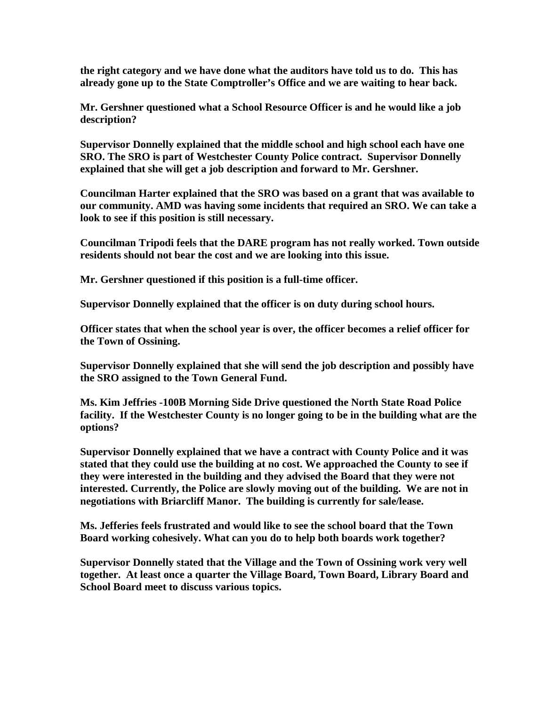**the right category and we have done what the auditors have told us to do. This has already gone up to the State Comptroller's Office and we are waiting to hear back.**

**Mr. Gershner questioned what a School Resource Officer is and he would like a job description?** 

**Supervisor Donnelly explained that the middle school and high school each have one SRO. The SRO is part of Westchester County Police contract. Supervisor Donnelly explained that she will get a job description and forward to Mr. Gershner.**

**Councilman Harter explained that the SRO was based on a grant that was available to our community. AMD was having some incidents that required an SRO. We can take a look to see if this position is still necessary.** 

**Councilman Tripodi feels that the DARE program has not really worked. Town outside residents should not bear the cost and we are looking into this issue.**

**Mr. Gershner questioned if this position is a full-time officer.** 

**Supervisor Donnelly explained that the officer is on duty during school hours.**

**Officer states that when the school year is over, the officer becomes a relief officer for the Town of Ossining.** 

**Supervisor Donnelly explained that she will send the job description and possibly have the SRO assigned to the Town General Fund.**

**Ms. Kim Jeffries -100B Morning Side Drive questioned the North State Road Police facility. If the Westchester County is no longer going to be in the building what are the options?**

**Supervisor Donnelly explained that we have a contract with County Police and it was stated that they could use the building at no cost. We approached the County to see if they were interested in the building and they advised the Board that they were not interested. Currently, the Police are slowly moving out of the building. We are not in negotiations with Briarcliff Manor. The building is currently for sale/lease.** 

**Ms. Jefferies feels frustrated and would like to see the school board that the Town Board working cohesively. What can you do to help both boards work together?**

**Supervisor Donnelly stated that the Village and the Town of Ossining work very well together. At least once a quarter the Village Board, Town Board, Library Board and School Board meet to discuss various topics.**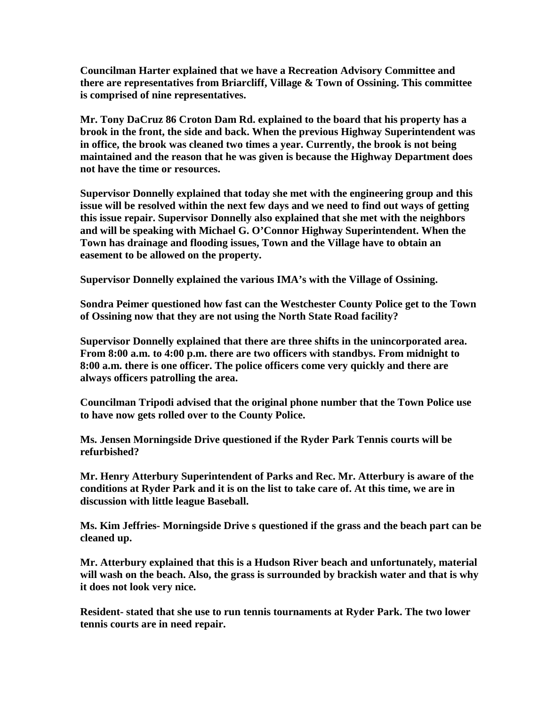**Councilman Harter explained that we have a Recreation Advisory Committee and there are representatives from Briarcliff, Village & Town of Ossining. This committee is comprised of nine representatives.** 

**Mr. Tony DaCruz 86 Croton Dam Rd. explained to the board that his property has a brook in the front, the side and back. When the previous Highway Superintendent was in office, the brook was cleaned two times a year. Currently, the brook is not being maintained and the reason that he was given is because the Highway Department does not have the time or resources.**

**Supervisor Donnelly explained that today she met with the engineering group and this issue will be resolved within the next few days and we need to find out ways of getting this issue repair. Supervisor Donnelly also explained that she met with the neighbors and will be speaking with Michael G. O'Connor Highway Superintendent. When the Town has drainage and flooding issues, Town and the Village have to obtain an easement to be allowed on the property.** 

**Supervisor Donnelly explained the various IMA's with the Village of Ossining.**

**Sondra Peimer questioned how fast can the Westchester County Police get to the Town of Ossining now that they are not using the North State Road facility?**

**Supervisor Donnelly explained that there are three shifts in the unincorporated area. From 8:00 a.m. to 4:00 p.m. there are two officers with standbys. From midnight to 8:00 a.m. there is one officer. The police officers come very quickly and there are always officers patrolling the area.** 

**Councilman Tripodi advised that the original phone number that the Town Police use to have now gets rolled over to the County Police.**

**Ms. Jensen Morningside Drive questioned if the Ryder Park Tennis courts will be refurbished?**

**Mr. Henry Atterbury Superintendent of Parks and Rec. Mr. Atterbury is aware of the conditions at Ryder Park and it is on the list to take care of. At this time, we are in discussion with little league Baseball.** 

**Ms. Kim Jeffries- Morningside Drive s questioned if the grass and the beach part can be cleaned up.** 

**Mr. Atterbury explained that this is a Hudson River beach and unfortunately, material will wash on the beach. Also, the grass is surrounded by brackish water and that is why it does not look very nice.**

**Resident- stated that she use to run tennis tournaments at Ryder Park. The two lower tennis courts are in need repair.**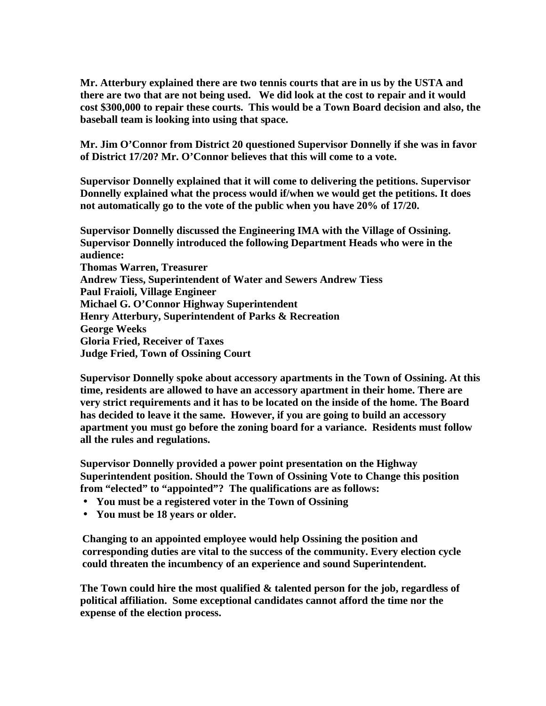**Mr. Atterbury explained there are two tennis courts that are in us by the USTA and there are two that are not being used. We did look at the cost to repair and it would cost \$300,000 to repair these courts. This would be a Town Board decision and also, the baseball team is looking into using that space.** 

**Mr. Jim O'Connor from District 20 questioned Supervisor Donnelly if she was in favor of District 17/20? Mr. O'Connor believes that this will come to a vote.**

**Supervisor Donnelly explained that it will come to delivering the petitions. Supervisor Donnelly explained what the process would if/when we would get the petitions. It does not automatically go to the vote of the public when you have 20% of 17/20.**

**Supervisor Donnelly discussed the Engineering IMA with the Village of Ossining. Supervisor Donnelly introduced the following Department Heads who were in the audience: Thomas Warren, Treasurer Andrew Tiess, Superintendent of Water and Sewers Andrew Tiess Paul Fraioli, Village Engineer Michael G. O'Connor Highway Superintendent Henry Atterbury, Superintendent of Parks & Recreation George Weeks Gloria Fried, Receiver of Taxes Judge Fried, Town of Ossining Court**

**Supervisor Donnelly spoke about accessory apartments in the Town of Ossining. At this time, residents are allowed to have an accessory apartment in their home. There are very strict requirements and it has to be located on the inside of the home. The Board has decided to leave it the same. However, if you are going to build an accessory apartment you must go before the zoning board for a variance. Residents must follow all the rules and regulations.** 

**Supervisor Donnelly provided a power point presentation on the Highway Superintendent position. Should the Town of Ossining Vote to Change this position from "elected" to "appointed"? The qualifications are as follows:**

- **You must be a registered voter in the Town of Ossining**
- **You must be 18 years or older.**

**Changing to an appointed employee would help Ossining the position and corresponding duties are vital to the success of the community. Every election cycle could threaten the incumbency of an experience and sound Superintendent.** 

**The Town could hire the most qualified & talented person for the job, regardless of political affiliation. Some exceptional candidates cannot afford the time nor the expense of the election process.**